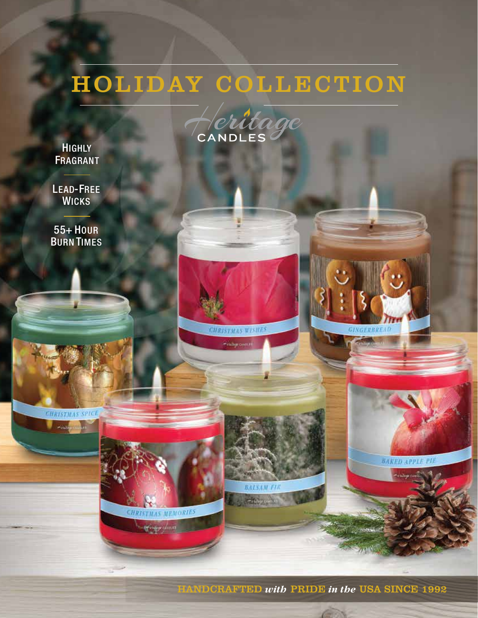# HOLIDAY COLLECTION



**CHRISTMAS WISHES** 

-<br>Felthyr cannot

**BALSAM FIR**  $\frac{1}{2}$ 

**HIGHLY FRAGRANT** 

LEAD-FREE **WICKS** 

55+ HOUR BURN TIMES

**CHRISTMAS SPICE**  $460$ 



**GINGERBREAD** 

**Alliance** 

**BAKED APPLE PIE** 

HANDCRAFTED *with* PRIDE *in the* USA SINCE 1992